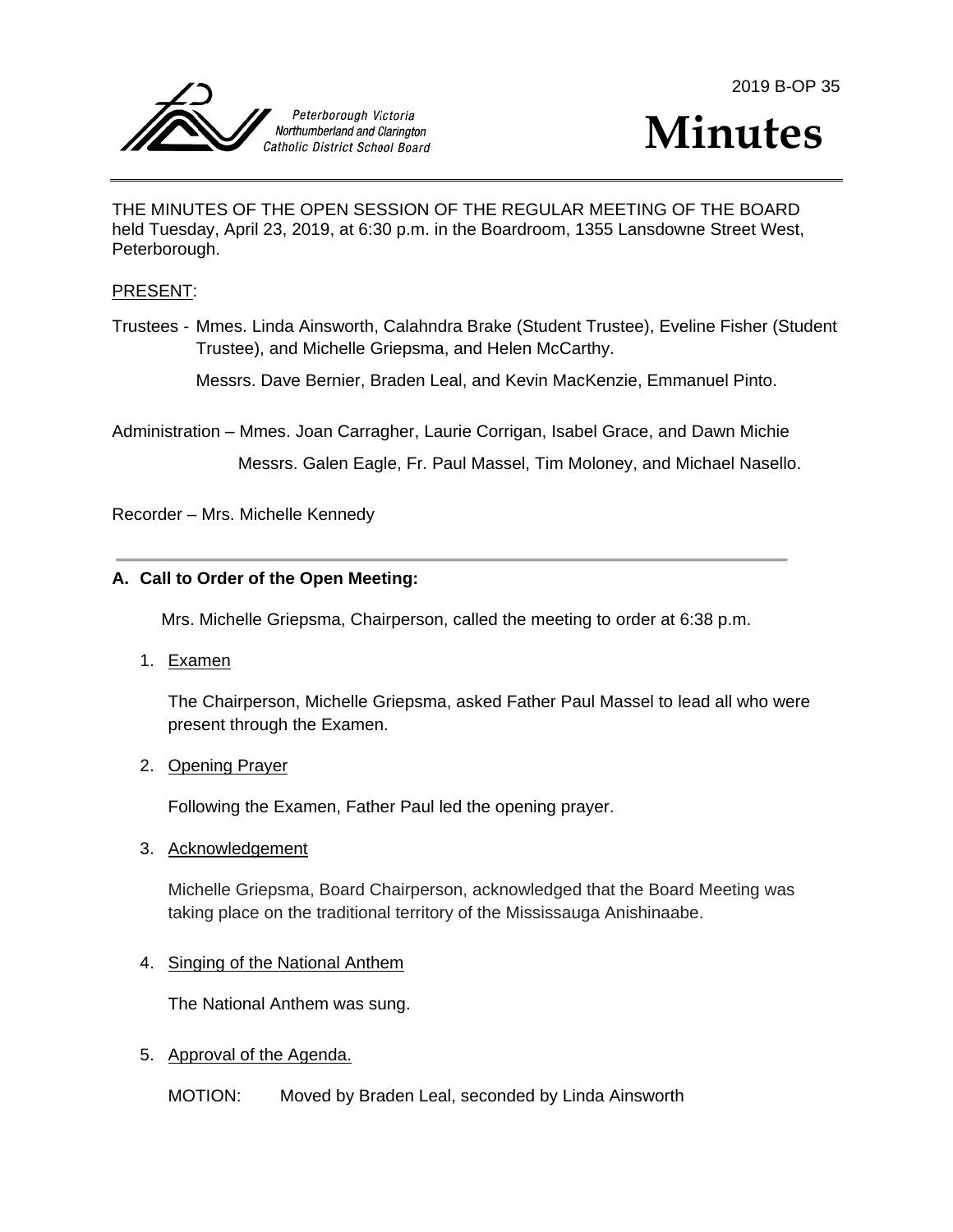



THE MINUTES OF THE OPEN SESSION OF THE REGULAR MEETING OF THE BOARD held Tuesday, April 23, 2019, at 6:30 p.m. in the Boardroom, 1355 Lansdowne Street West, Peterborough.

#### PRESENT:

Trustees - Mmes. Linda Ainsworth, Calahndra Brake (Student Trustee), Eveline Fisher (Student Trustee), and Michelle Griepsma, and Helen McCarthy.

Messrs. Dave Bernier, Braden Leal, and Kevin MacKenzie, Emmanuel Pinto.

Administration – Mmes. Joan Carragher, Laurie Corrigan, Isabel Grace, and Dawn Michie

Messrs. Galen Eagle, Fr. Paul Massel, Tim Moloney, and Michael Nasello.

Recorder – Mrs. Michelle Kennedy

#### **A. Call to Order of the Open Meeting:**

Mrs. Michelle Griepsma, Chairperson, called the meeting to order at 6:38 p.m.

1. Examen

The Chairperson, Michelle Griepsma, asked Father Paul Massel to lead all who were present through the Examen.

2. Opening Prayer

Following the Examen, Father Paul led the opening prayer.

3. Acknowledgement

Michelle Griepsma, Board Chairperson, acknowledged that the Board Meeting was taking place on the traditional territory of the Mississauga Anishinaabe.

#### 4. Singing of the National Anthem

The National Anthem was sung.

- 5. Approval of the Agenda.
	- MOTION: Moved by Braden Leal, seconded by Linda Ainsworth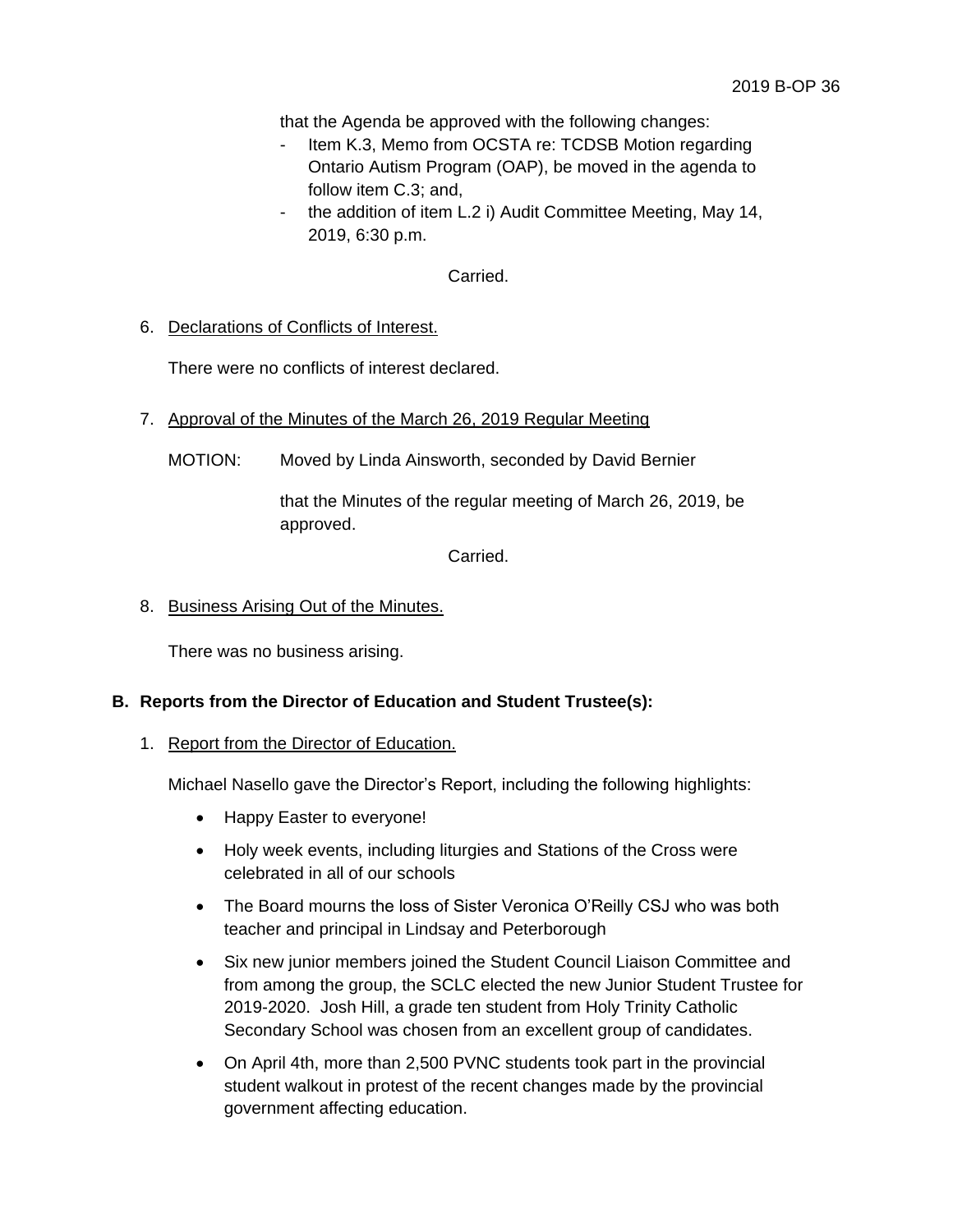that the Agenda be approved with the following changes:

- Item K.3, Memo from OCSTA re: TCDSB Motion regarding Ontario Autism Program (OAP), be moved in the agenda to follow item C.3; and,
- the addition of item L.2 i) Audit Committee Meeting, May 14, 2019, 6:30 p.m.

Carried.

6. Declarations of Conflicts of Interest.

There were no conflicts of interest declared.

- 7. Approval of the Minutes of the March 26, 2019 Regular Meeting
	- MOTION: Moved by Linda Ainsworth, seconded by David Bernier

that the Minutes of the regular meeting of March 26, 2019, be approved.

Carried.

#### 8. Business Arising Out of the Minutes.

There was no business arising.

### **B. Reports from the Director of Education and Student Trustee(s):**

#### 1. Report from the Director of Education.

Michael Nasello gave the Director's Report, including the following highlights:

- Happy Easter to everyone!
- Holy week events, including liturgies and Stations of the Cross were celebrated in all of our schools
- The Board mourns the loss of Sister Veronica O'Reilly CSJ who was both teacher and principal in Lindsay and Peterborough
- Six new junior members joined the Student Council Liaison Committee and from among the group, the SCLC elected the new Junior Student Trustee for 2019-2020. Josh Hill, a grade ten student from Holy Trinity Catholic Secondary School was chosen from an excellent group of candidates.
- On April 4th, more than 2,500 PVNC students took part in the provincial student walkout in protest of the recent changes made by the provincial government affecting education.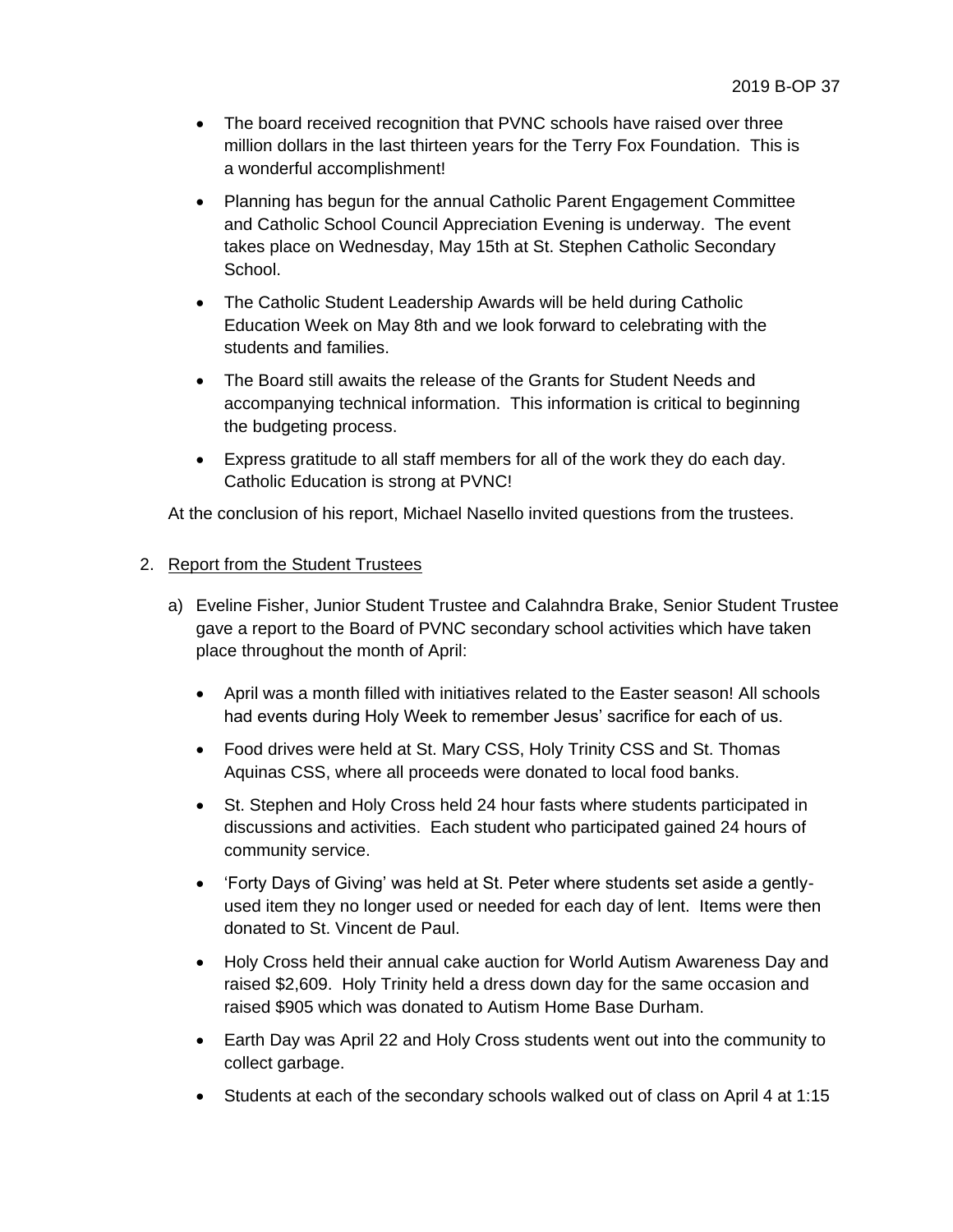- The board received recognition that PVNC schools have raised over three million dollars in the last thirteen years for the Terry Fox Foundation. This is a wonderful accomplishment!
- Planning has begun for the annual Catholic Parent Engagement Committee and Catholic School Council Appreciation Evening is underway. The event takes place on Wednesday, May 15th at St. Stephen Catholic Secondary School.
- The Catholic Student Leadership Awards will be held during Catholic Education Week on May 8th and we look forward to celebrating with the students and families.
- The Board still awaits the release of the Grants for Student Needs and accompanying technical information. This information is critical to beginning the budgeting process.
- Express gratitude to all staff members for all of the work they do each day. Catholic Education is strong at PVNC!

At the conclusion of his report, Michael Nasello invited questions from the trustees.

# 2. Report from the Student Trustees

- a) Eveline Fisher, Junior Student Trustee and Calahndra Brake, Senior Student Trustee gave a report to the Board of PVNC secondary school activities which have taken place throughout the month of April:
	- April was a month filled with initiatives related to the Easter season! All schools had events during Holy Week to remember Jesus' sacrifice for each of us.
	- Food drives were held at St. Mary CSS, Holy Trinity CSS and St. Thomas Aquinas CSS, where all proceeds were donated to local food banks.
	- St. Stephen and Holy Cross held 24 hour fasts where students participated in discussions and activities. Each student who participated gained 24 hours of community service.
	- 'Forty Days of Giving' was held at St. Peter where students set aside a gentlyused item they no longer used or needed for each day of lent. Items were then donated to St. Vincent de Paul.
	- Holy Cross held their annual cake auction for World Autism Awareness Day and raised \$2,609. Holy Trinity held a dress down day for the same occasion and raised \$905 which was donated to Autism Home Base Durham.
	- Earth Day was April 22 and Holy Cross students went out into the community to collect garbage.
	- Students at each of the secondary schools walked out of class on April 4 at 1:15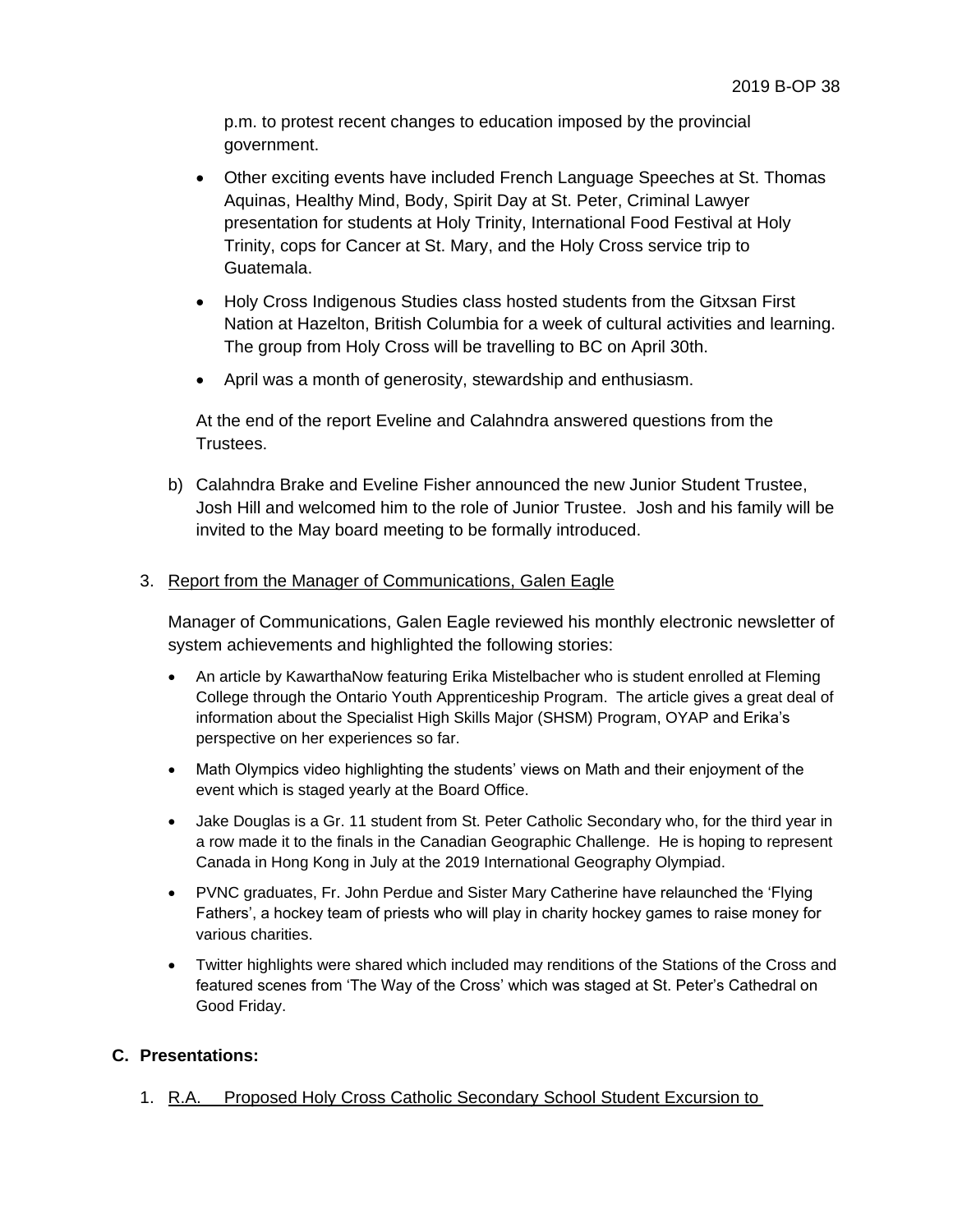p.m. to protest recent changes to education imposed by the provincial government.

- Other exciting events have included French Language Speeches at St. Thomas Aquinas, Healthy Mind, Body, Spirit Day at St. Peter, Criminal Lawyer presentation for students at Holy Trinity, International Food Festival at Holy Trinity, cops for Cancer at St. Mary, and the Holy Cross service trip to Guatemala.
- Holy Cross Indigenous Studies class hosted students from the Gitxsan First Nation at Hazelton, British Columbia for a week of cultural activities and learning. The group from Holy Cross will be travelling to BC on April 30th.
- April was a month of generosity, stewardship and enthusiasm.

At the end of the report Eveline and Calahndra answered questions from the Trustees.

b) Calahndra Brake and Eveline Fisher announced the new Junior Student Trustee, Josh Hill and welcomed him to the role of Junior Trustee. Josh and his family will be invited to the May board meeting to be formally introduced.

### 3. Report from the Manager of Communications, Galen Eagle

Manager of Communications, Galen Eagle reviewed his monthly electronic newsletter of system achievements and highlighted the following stories:

- An article by KawarthaNow featuring Erika Mistelbacher who is student enrolled at Fleming College through the Ontario Youth Apprenticeship Program. The article gives a great deal of information about the Specialist High Skills Major (SHSM) Program, OYAP and Erika's perspective on her experiences so far.
- Math Olympics video highlighting the students' views on Math and their enjoyment of the event which is staged yearly at the Board Office.
- Jake Douglas is a Gr. 11 student from St. Peter Catholic Secondary who, for the third year in a row made it to the finals in the Canadian Geographic Challenge. He is hoping to represent Canada in Hong Kong in July at the 2019 International Geography Olympiad.
- PVNC graduates, Fr. John Perdue and Sister Mary Catherine have relaunched the 'Flying Fathers', a hockey team of priests who will play in charity hockey games to raise money for various charities.
- Twitter highlights were shared which included may renditions of the Stations of the Cross and featured scenes from 'The Way of the Cross' which was staged at St. Peter's Cathedral on Good Friday.

### **C. Presentations:**

1. R.A. Proposed Holy Cross Catholic Secondary School Student Excursion to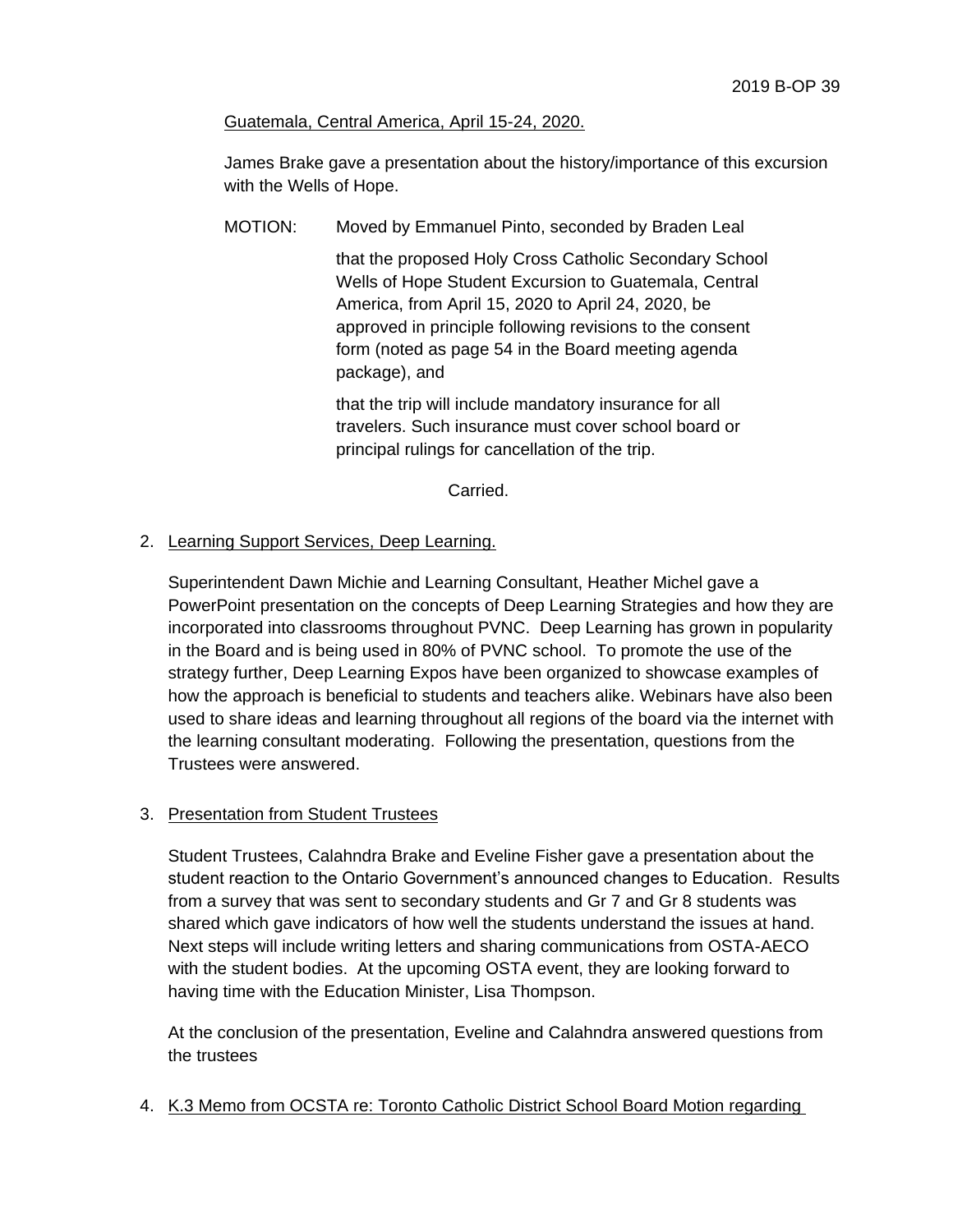#### Guatemala, Central America, April 15-24, 2020.

James Brake gave a presentation about the history/importance of this excursion with the Wells of Hope.

MOTION: Moved by Emmanuel Pinto, seconded by Braden Leal

that the proposed Holy Cross Catholic Secondary School Wells of Hope Student Excursion to Guatemala, Central America, from April 15, 2020 to April 24, 2020, be approved in principle following revisions to the consent form (noted as page 54 in the Board meeting agenda package), and

that the trip will include mandatory insurance for all travelers. Such insurance must cover school board or principal rulings for cancellation of the trip.

Carried.

### 2. Learning Support Services, Deep Learning.

Superintendent Dawn Michie and Learning Consultant, Heather Michel gave a PowerPoint presentation on the concepts of Deep Learning Strategies and how they are incorporated into classrooms throughout PVNC. Deep Learning has grown in popularity in the Board and is being used in 80% of PVNC school. To promote the use of the strategy further, Deep Learning Expos have been organized to showcase examples of how the approach is beneficial to students and teachers alike. Webinars have also been used to share ideas and learning throughout all regions of the board via the internet with the learning consultant moderating. Following the presentation, questions from the Trustees were answered.

### 3. Presentation from Student Trustees

Student Trustees, Calahndra Brake and Eveline Fisher gave a presentation about the student reaction to the Ontario Government's announced changes to Education. Results from a survey that was sent to secondary students and Gr 7 and Gr 8 students was shared which gave indicators of how well the students understand the issues at hand. Next steps will include writing letters and sharing communications from OSTA-AECO with the student bodies. At the upcoming OSTA event, they are looking forward to having time with the Education Minister, Lisa Thompson.

At the conclusion of the presentation, Eveline and Calahndra answered questions from the trustees

4. K.3 Memo from OCSTA re: Toronto Catholic District School Board Motion regarding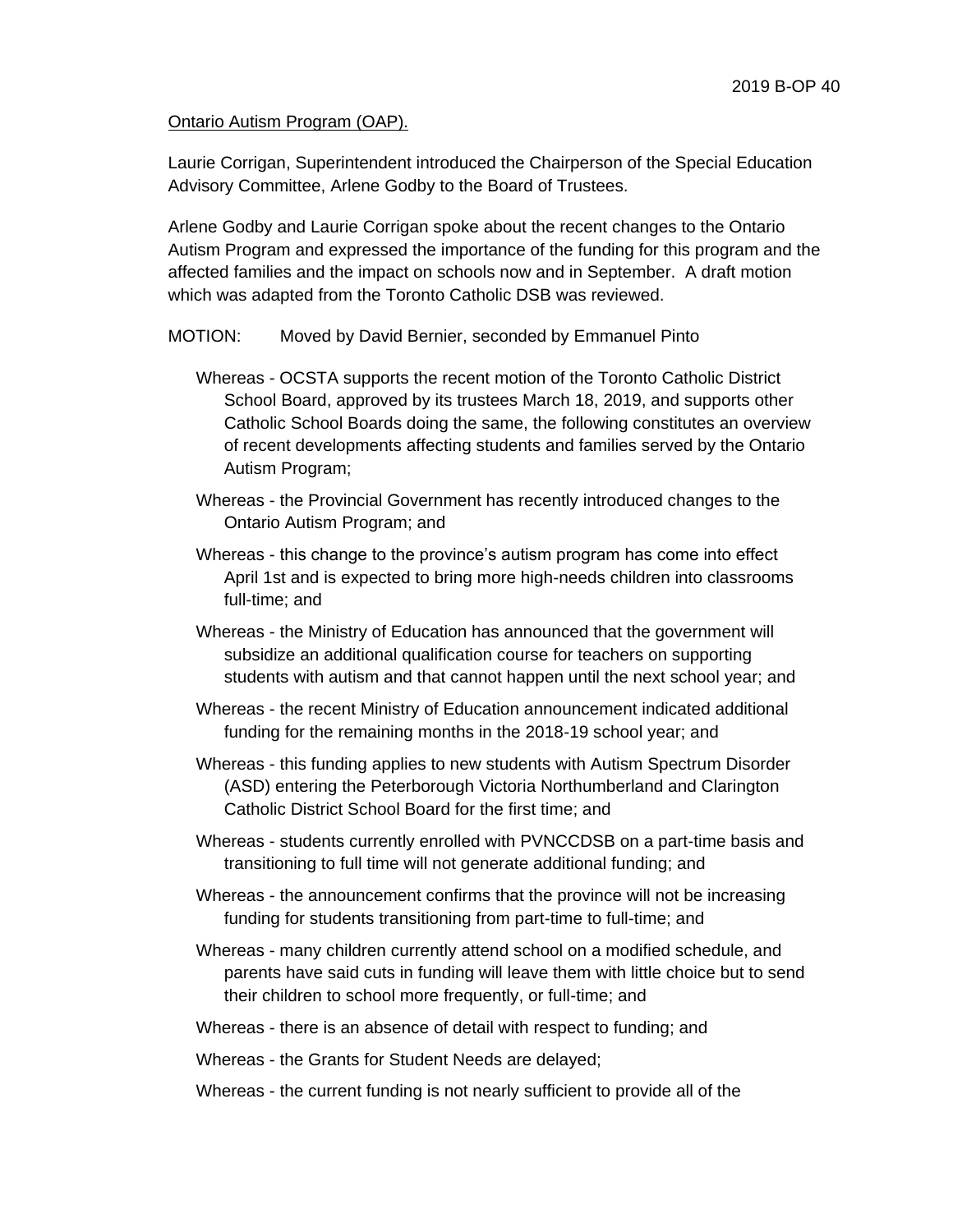#### Ontario Autism Program (OAP).

Laurie Corrigan, Superintendent introduced the Chairperson of the Special Education Advisory Committee, Arlene Godby to the Board of Trustees.

Arlene Godby and Laurie Corrigan spoke about the recent changes to the Ontario Autism Program and expressed the importance of the funding for this program and the affected families and the impact on schools now and in September. A draft motion which was adapted from the Toronto Catholic DSB was reviewed.

#### MOTION: Moved by David Bernier, seconded by Emmanuel Pinto

- Whereas OCSTA supports the recent motion of the Toronto Catholic District School Board, approved by its trustees March 18, 2019, and supports other Catholic School Boards doing the same, the following constitutes an overview of recent developments affecting students and families served by the Ontario Autism Program;
- Whereas the Provincial Government has recently introduced changes to the Ontario Autism Program; and
- Whereas this change to the province's autism program has come into effect April 1st and is expected to bring more high-needs children into classrooms full-time; and
- Whereas the Ministry of Education has announced that the government will subsidize an additional qualification course for teachers on supporting students with autism and that cannot happen until the next school year; and
- Whereas the recent Ministry of Education announcement indicated additional funding for the remaining months in the 2018-19 school year; and
- Whereas this funding applies to new students with Autism Spectrum Disorder (ASD) entering the Peterborough Victoria Northumberland and Clarington Catholic District School Board for the first time; and
- Whereas students currently enrolled with PVNCCDSB on a part-time basis and transitioning to full time will not generate additional funding; and
- Whereas the announcement confirms that the province will not be increasing funding for students transitioning from part-time to full-time; and
- Whereas many children currently attend school on a modified schedule, and parents have said cuts in funding will leave them with little choice but to send their children to school more frequently, or full-time; and
- Whereas there is an absence of detail with respect to funding; and

Whereas - the Grants for Student Needs are delayed;

Whereas - the current funding is not nearly sufficient to provide all of the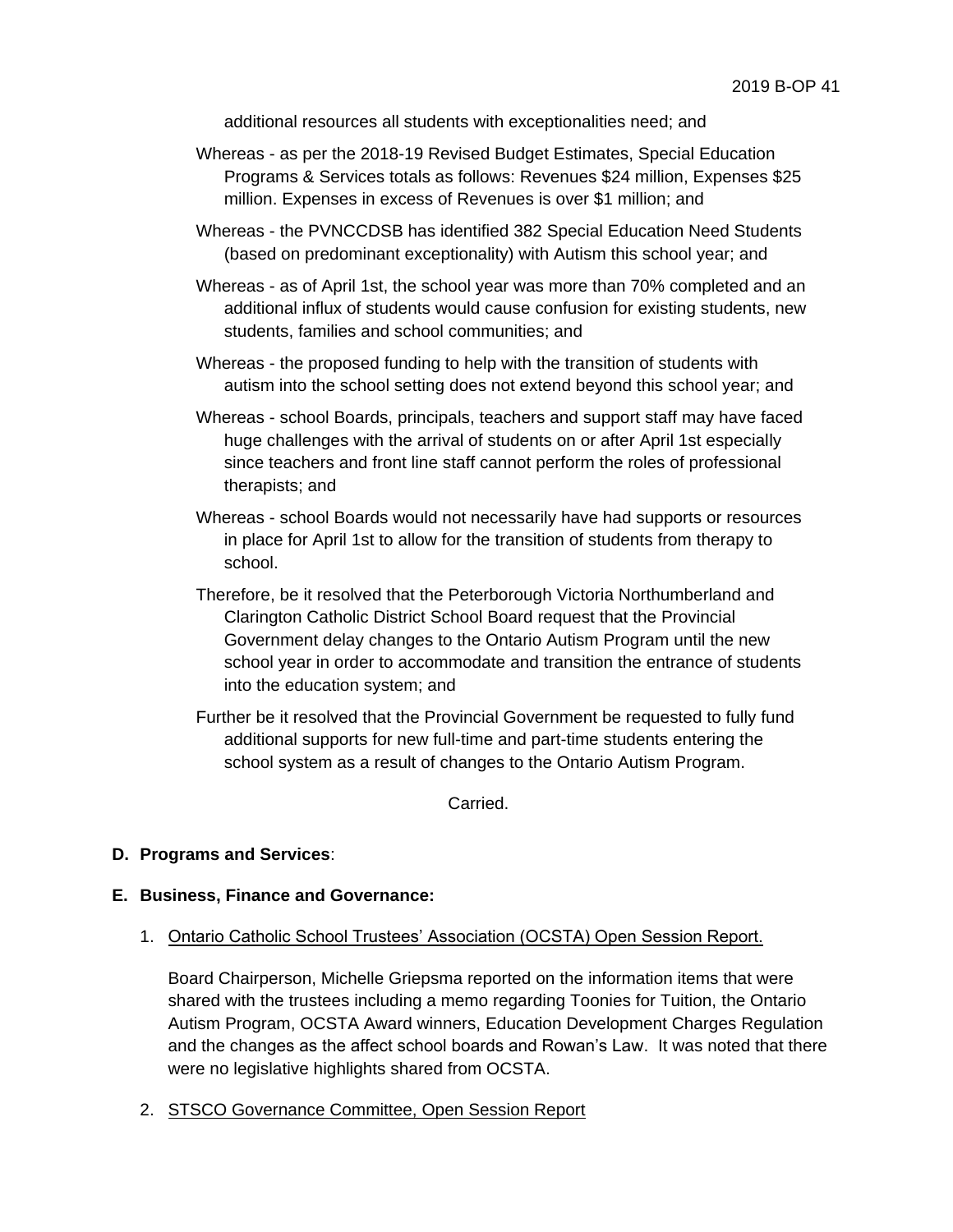additional resources all students with exceptionalities need; and

- Whereas as per the 2018-19 Revised Budget Estimates, Special Education Programs & Services totals as follows: Revenues \$24 million, Expenses \$25 million. Expenses in excess of Revenues is over \$1 million; and
- Whereas the PVNCCDSB has identified 382 Special Education Need Students (based on predominant exceptionality) with Autism this school year; and
- Whereas as of April 1st, the school year was more than 70% completed and an additional influx of students would cause confusion for existing students, new students, families and school communities; and
- Whereas the proposed funding to help with the transition of students with autism into the school setting does not extend beyond this school year; and
- Whereas school Boards, principals, teachers and support staff may have faced huge challenges with the arrival of students on or after April 1st especially since teachers and front line staff cannot perform the roles of professional therapists; and
- Whereas school Boards would not necessarily have had supports or resources in place for April 1st to allow for the transition of students from therapy to school.
- Therefore, be it resolved that the Peterborough Victoria Northumberland and Clarington Catholic District School Board request that the Provincial Government delay changes to the Ontario Autism Program until the new school year in order to accommodate and transition the entrance of students into the education system; and
- Further be it resolved that the Provincial Government be requested to fully fund additional supports for new full-time and part-time students entering the school system as a result of changes to the Ontario Autism Program.

Carried.

#### **D. Programs and Services**:

#### **E. Business, Finance and Governance:**

1. Ontario Catholic School Trustees' Association (OCSTA) Open Session Report.

Board Chairperson, Michelle Griepsma reported on the information items that were shared with the trustees including a memo regarding Toonies for Tuition, the Ontario Autism Program, OCSTA Award winners, Education Development Charges Regulation and the changes as the affect school boards and Rowan's Law. It was noted that there were no legislative highlights shared from OCSTA.

2. STSCO Governance Committee, Open Session Report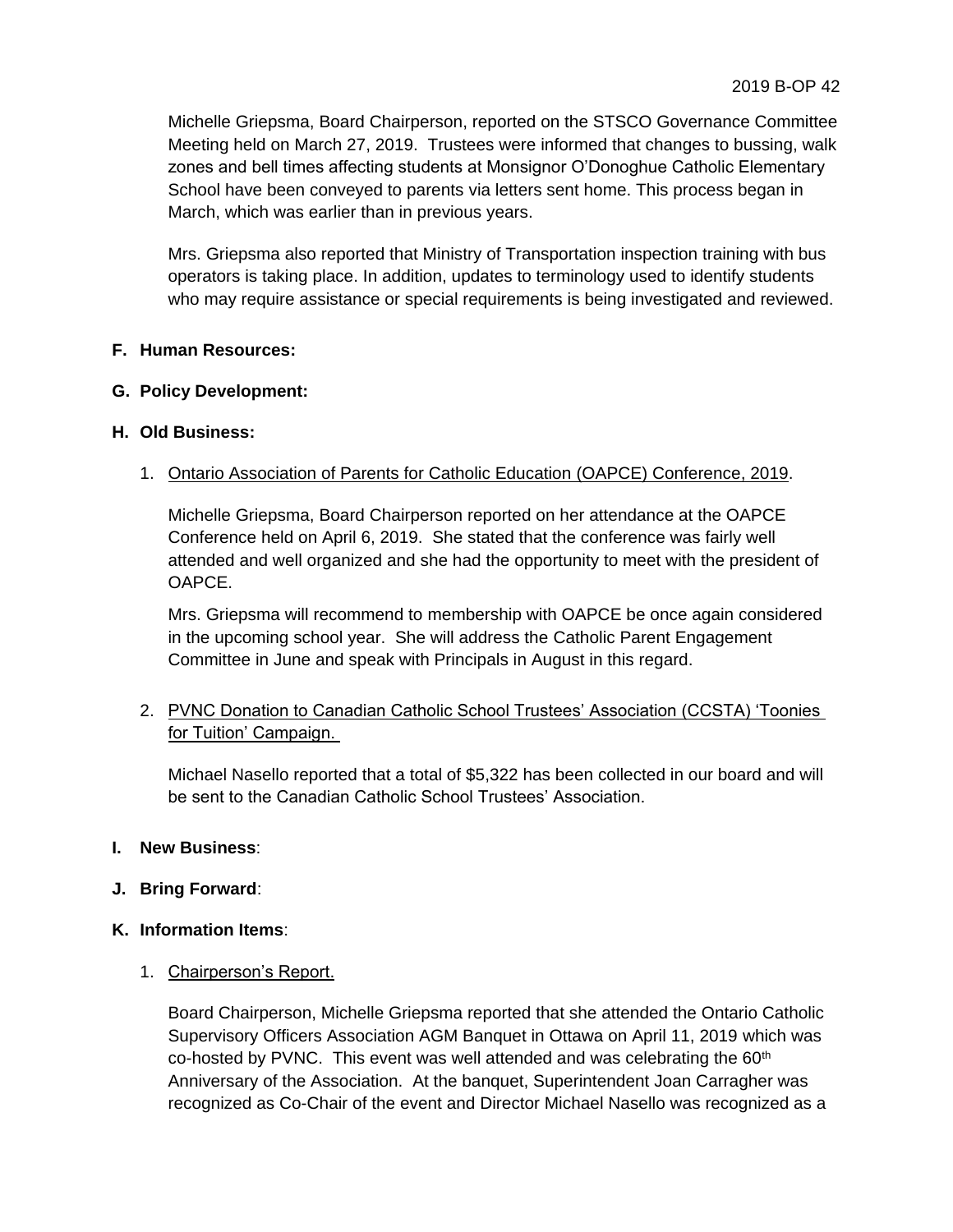Michelle Griepsma, Board Chairperson, reported on the STSCO Governance Committee Meeting held on March 27, 2019. Trustees were informed that changes to bussing, walk zones and bell times affecting students at Monsignor O'Donoghue Catholic Elementary School have been conveyed to parents via letters sent home. This process began in March, which was earlier than in previous years.

Mrs. Griepsma also reported that Ministry of Transportation inspection training with bus operators is taking place. In addition, updates to terminology used to identify students who may require assistance or special requirements is being investigated and reviewed.

# **F. Human Resources:**

### **G. Policy Development:**

### **H. Old Business:**

# 1. Ontario Association of Parents for Catholic Education (OAPCE) Conference, 2019.

Michelle Griepsma, Board Chairperson reported on her attendance at the OAPCE Conference held on April 6, 2019. She stated that the conference was fairly well attended and well organized and she had the opportunity to meet with the president of OAPCE.

Mrs. Griepsma will recommend to membership with OAPCE be once again considered in the upcoming school year. She will address the Catholic Parent Engagement Committee in June and speak with Principals in August in this regard.

# 2. PVNC Donation to Canadian Catholic School Trustees' Association (CCSTA) 'Toonies for Tuition' Campaign.

Michael Nasello reported that a total of \$5,322 has been collected in our board and will be sent to the Canadian Catholic School Trustees' Association.

### **I. New Business**:

**J. Bring Forward**:

### **K. Information Items**:

1. Chairperson's Report.

Board Chairperson, Michelle Griepsma reported that she attended the Ontario Catholic Supervisory Officers Association AGM Banquet in Ottawa on April 11, 2019 which was co-hosted by PVNC. This event was well attended and was celebrating the  $60<sup>th</sup>$ Anniversary of the Association. At the banquet, Superintendent Joan Carragher was recognized as Co-Chair of the event and Director Michael Nasello was recognized as a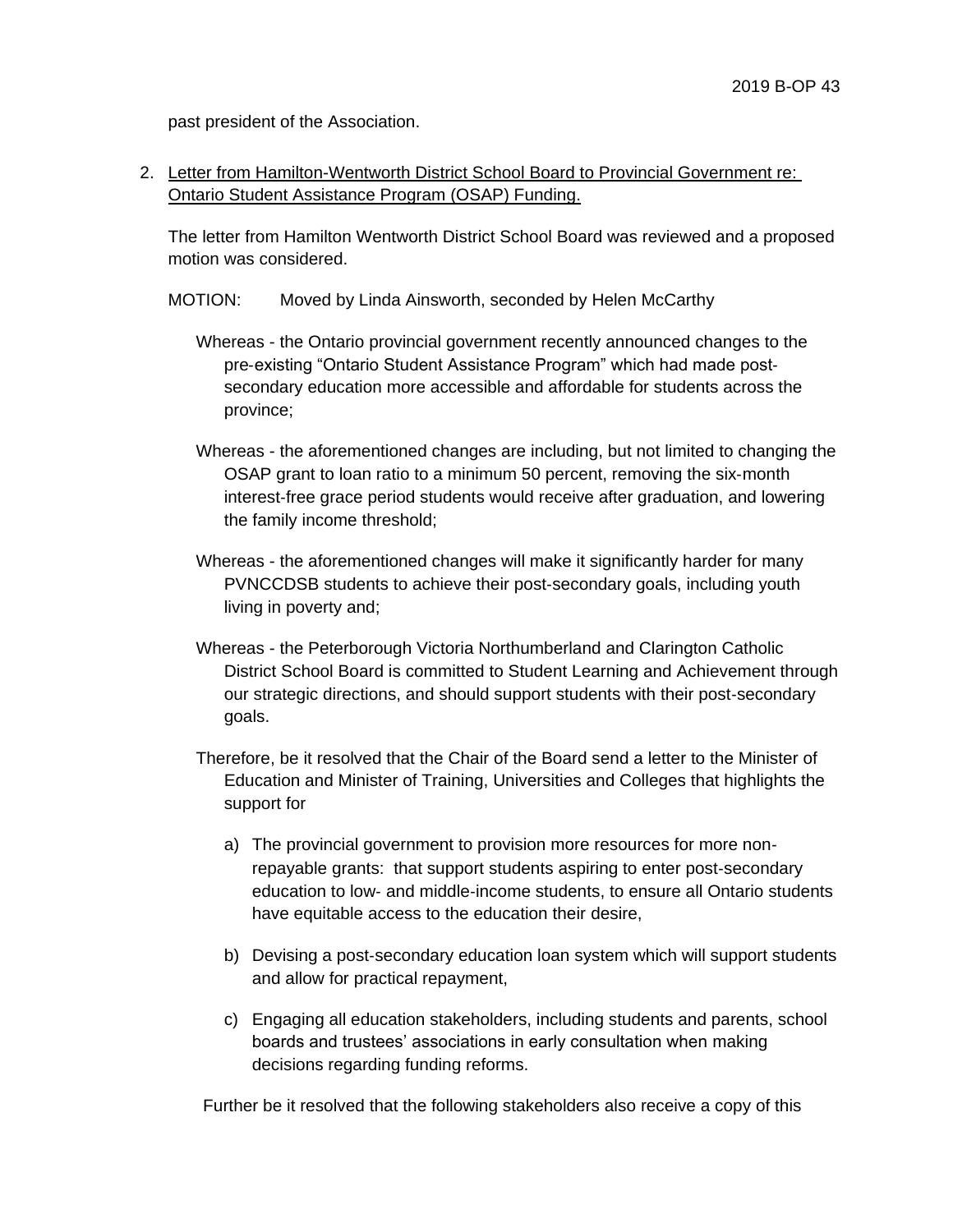past president of the Association.

2. Letter from Hamilton-Wentworth District School Board to Provincial Government re: Ontario Student Assistance Program (OSAP) Funding.

The letter from Hamilton Wentworth District School Board was reviewed and a proposed motion was considered.

- MOTION: Moved by Linda Ainsworth, seconded by Helen McCarthy
	- Whereas the Ontario provincial government recently announced changes to the pre‐existing "Ontario Student Assistance Program" which had made post‐ secondary education more accessible and affordable for students across the province;
	- Whereas the aforementioned changes are including, but not limited to changing the OSAP grant to loan ratio to a minimum 50 percent, removing the six‐month interest‐free grace period students would receive after graduation, and lowering the family income threshold;
	- Whereas the aforementioned changes will make it significantly harder for many PVNCCDSB students to achieve their post‐secondary goals, including youth living in poverty and;
	- Whereas the Peterborough Victoria Northumberland and Clarington Catholic District School Board is committed to Student Learning and Achievement through our strategic directions, and should support students with their post‐secondary goals.
	- Therefore, be it resolved that the Chair of the Board send a letter to the Minister of Education and Minister of Training, Universities and Colleges that highlights the support for
		- a) The provincial government to provision more resources for more non‐ repayable grants: that support students aspiring to enter post‐secondary education to low‐ and middle‐income students, to ensure all Ontario students have equitable access to the education their desire,
		- b) Devising a post‐secondary education loan system which will support students and allow for practical repayment,
		- c) Engaging all education stakeholders, including students and parents, school boards and trustees' associations in early consultation when making decisions regarding funding reforms.

Further be it resolved that the following stakeholders also receive a copy of this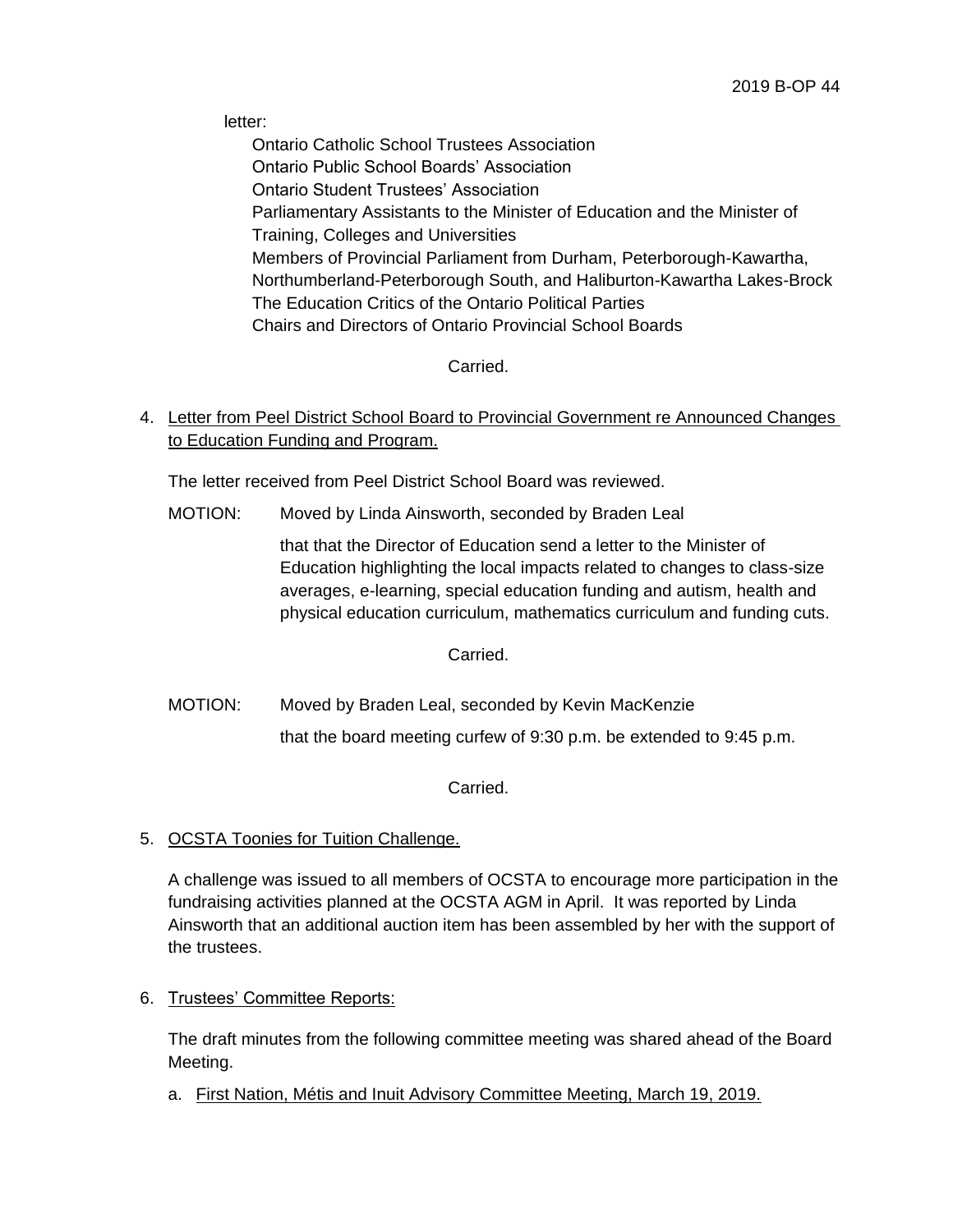letter:

Ontario Catholic School Trustees Association Ontario Public School Boards' Association Ontario Student Trustees' Association Parliamentary Assistants to the Minister of Education and the Minister of Training, Colleges and Universities Members of Provincial Parliament from Durham, Peterborough-Kawartha, Northumberland-Peterborough South, and Haliburton-Kawartha Lakes-Brock The Education Critics of the Ontario Political Parties Chairs and Directors of Ontario Provincial School Boards

Carried.

# 4. Letter from Peel District School Board to Provincial Government re Announced Changes to Education Funding and Program.

The letter received from Peel District School Board was reviewed.

MOTION: Moved by Linda Ainsworth, seconded by Braden Leal

that that the Director of Education send a letter to the Minister of Education highlighting the local impacts related to changes to class-size averages, e-learning, special education funding and autism, health and physical education curriculum, mathematics curriculum and funding cuts.

Carried.

MOTION: Moved by Braden Leal, seconded by Kevin MacKenzie that the board meeting curfew of 9:30 p.m. be extended to 9:45 p.m.

Carried.

5. OCSTA Toonies for Tuition Challenge.

A challenge was issued to all members of OCSTA to encourage more participation in the fundraising activities planned at the OCSTA AGM in April. It was reported by Linda Ainsworth that an additional auction item has been assembled by her with the support of the trustees.

6. Trustees' Committee Reports:

The draft minutes from the following committee meeting was shared ahead of the Board Meeting.

a. First Nation, Métis and Inuit Advisory Committee Meeting, March 19, 2019.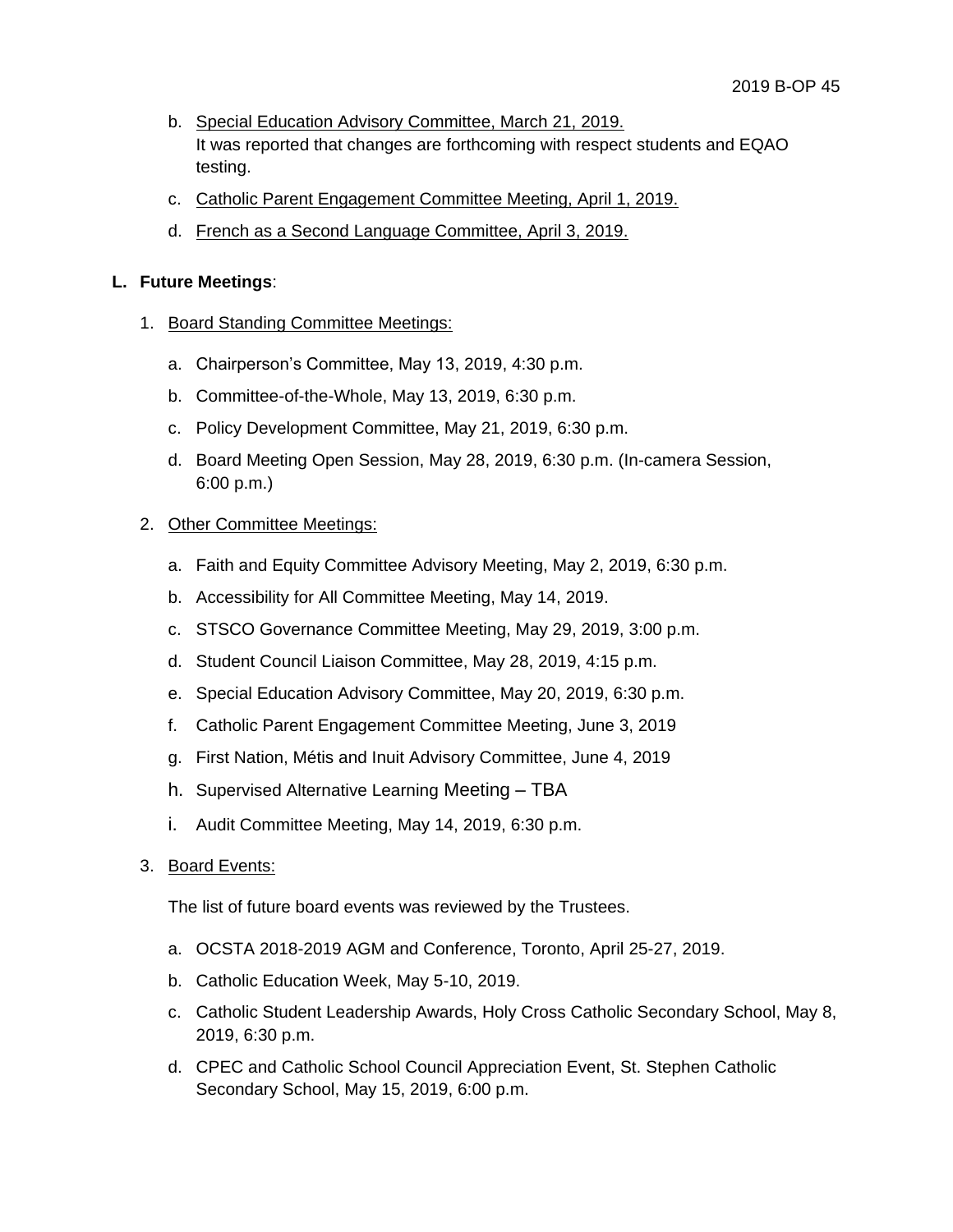- b. Special Education Advisory Committee, March 21, 2019. It was reported that changes are forthcoming with respect students and EQAO testing.
- c. Catholic Parent Engagement Committee Meeting, April 1, 2019.
- d. French as a Second Language Committee, April 3, 2019.

### **L. Future Meetings**:

- 1. Board Standing Committee Meetings:
	- a. Chairperson's Committee, May 13, 2019, 4:30 p.m.
	- b. Committee-of-the-Whole, May 13, 2019, 6:30 p.m.
	- c. Policy Development Committee, May 21, 2019, 6:30 p.m.
	- d. Board Meeting Open Session, May 28, 2019, 6:30 p.m. (In-camera Session, 6:00 p.m.)

# 2. Other Committee Meetings:

- a. Faith and Equity Committee Advisory Meeting, May 2, 2019, 6:30 p.m.
- b. Accessibility for All Committee Meeting, May 14, 2019.
- c. STSCO Governance Committee Meeting, May 29, 2019, 3:00 p.m.
- d. Student Council Liaison Committee, May 28, 2019, 4:15 p.m.
- e. Special Education Advisory Committee, May 20, 2019, 6:30 p.m.
- f. Catholic Parent Engagement Committee Meeting, June 3, 2019
- g. First Nation, Métis and Inuit Advisory Committee, June 4, 2019
- h. Supervised Alternative Learning Meeting TBA
- i. Audit Committee Meeting, May 14, 2019, 6:30 p.m.
- 3. Board Events:

The list of future board events was reviewed by the Trustees.

- a. OCSTA 2018-2019 AGM and Conference, Toronto, April 25-27, 2019.
- b. Catholic Education Week, May 5-10, 2019.
- c. Catholic Student Leadership Awards, Holy Cross Catholic Secondary School, May 8, 2019, 6:30 p.m.
- d. CPEC and Catholic School Council Appreciation Event, St. Stephen Catholic Secondary School, May 15, 2019, 6:00 p.m.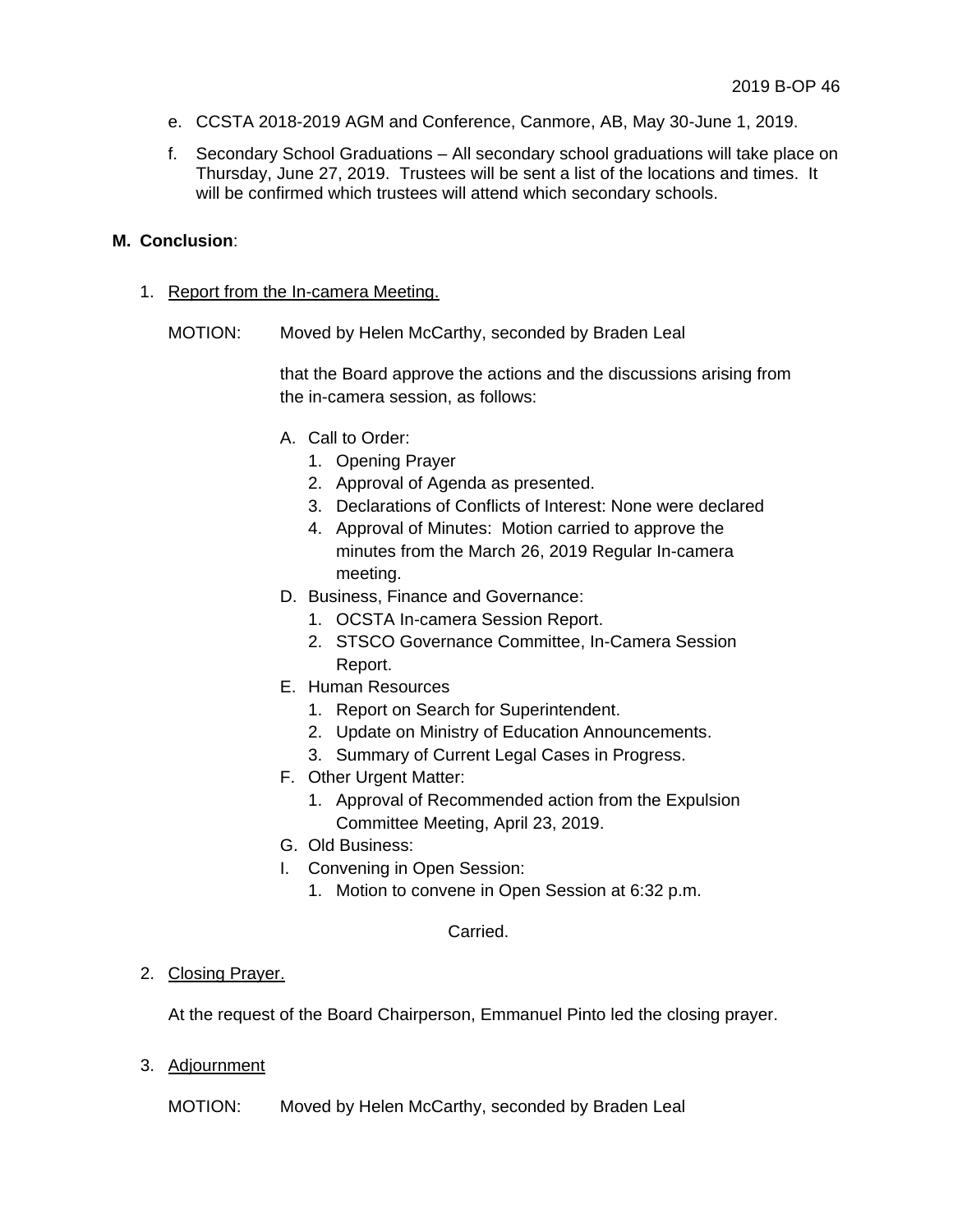- e. CCSTA 2018-2019 AGM and Conference, Canmore, AB, May 30-June 1, 2019.
- f. Secondary School Graduations All secondary school graduations will take place on Thursday, June 27, 2019. Trustees will be sent a list of the locations and times. It will be confirmed which trustees will attend which secondary schools.

### **M. Conclusion**:

- 1. Report from the In-camera Meeting.
	- MOTION: Moved by Helen McCarthy, seconded by Braden Leal

that the Board approve the actions and the discussions arising from the in-camera session, as follows:

- A. Call to Order:
	- 1. Opening Prayer
	- 2. Approval of Agenda as presented.
	- 3. Declarations of Conflicts of Interest: None were declared
	- 4. Approval of Minutes: Motion carried to approve the minutes from the March 26, 2019 Regular In-camera meeting.
- D. Business, Finance and Governance:
	- 1. OCSTA In-camera Session Report.
	- 2. STSCO Governance Committee, In-Camera Session Report.
- E. Human Resources
	- 1. Report on Search for Superintendent.
	- 2. Update on Ministry of Education Announcements.
	- 3. Summary of Current Legal Cases in Progress.
- F. Other Urgent Matter:
	- 1. Approval of Recommended action from the Expulsion Committee Meeting, April 23, 2019.
- G. Old Business:
- I. Convening in Open Session:
	- 1. Motion to convene in Open Session at 6:32 p.m.

#### Carried.

### 2. Closing Prayer.

At the request of the Board Chairperson, Emmanuel Pinto led the closing prayer.

3. Adjournment

MOTION: Moved by Helen McCarthy, seconded by Braden Leal